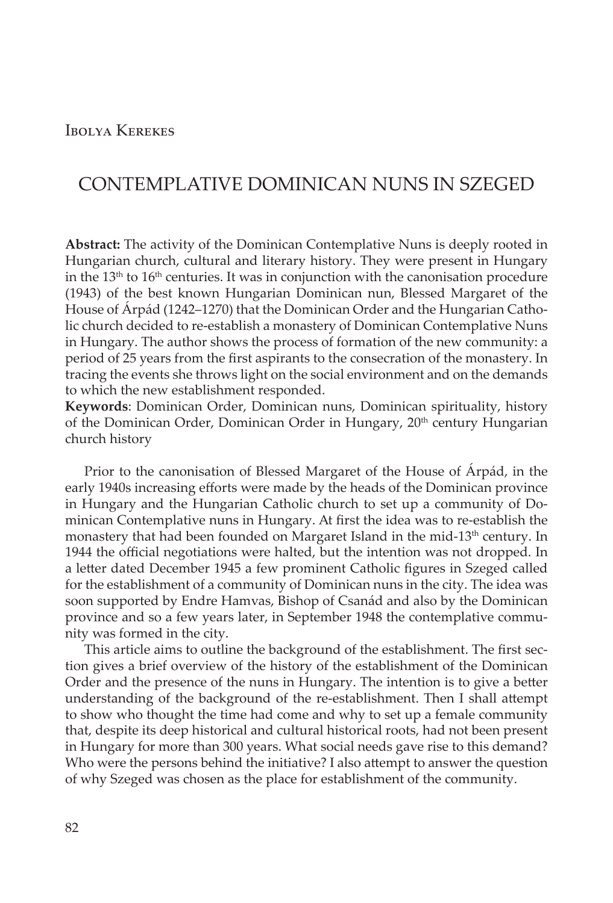## Ibolya Kerekes

# CONTEMPLATIVE DOMINICAN NUNS IN SZEGED

**Abstract:** The activity of the Dominican Contemplative Nuns is deeply rooted in Hungarian church, cultural and literary history. They were present in Hungary in the  $13<sup>th</sup>$  to  $16<sup>th</sup>$  centuries. It was in conjunction with the canonisation procedure (1943) of the best known Hungarian Dominican nun, Blessed Margaret of the House of Árpád (1242–1270) that the Dominican Order and the Hungarian Catholic church decided to re-establish a monastery of Dominican Contemplative Nuns in Hungary. The author shows the process of formation of the new community: a period of 25 years from the first aspirants to the consecration of the monastery. In tracing the events she throws light on the social environment and on the demands to which the new establishment responded.

**Keywords**: Dominican Order, Dominican nuns, Dominican spirituality, history of the Dominican Order, Dominican Order in Hungary, 20<sup>th</sup> century Hungarian church history

Prior to the canonisation of Blessed Margaret of the House of Árpád, in the early 1940s increasing efforts were made by the heads of the Dominican province in Hungary and the Hungarian Catholic church to set up a community of Dominican Contemplative nuns in Hungary. At first the idea was to re-establish the monastery that had been founded on Margaret Island in the mid-13<sup>th</sup> century. In 1944 the official negotiations were halted, but the intention was not dropped. In a letter dated December 1945 a few prominent Catholic figures in Szeged called for the establishment of a community of Dominican nuns in the city. The idea was soon supported by Endre Hamvas, Bishop of Csanád and also by the Dominican province and so a few years later, in September 1948 the contemplative community was formed in the city.

This article aims to outline the background of the establishment. The first section gives a brief overview of the history of the establishment of the Dominican Order and the presence of the nuns in Hungary. The intention is to give a better understanding of the background of the re-establishment. Then I shall attempt to show who thought the time had come and why to set up a female community that, despite its deep historical and cultural historical roots, had not been present in Hungary for more than 300 years. What social needs gave rise to this demand? Who were the persons behind the initiative? I also attempt to answer the question of why Szeged was chosen as the place for establishment of the community.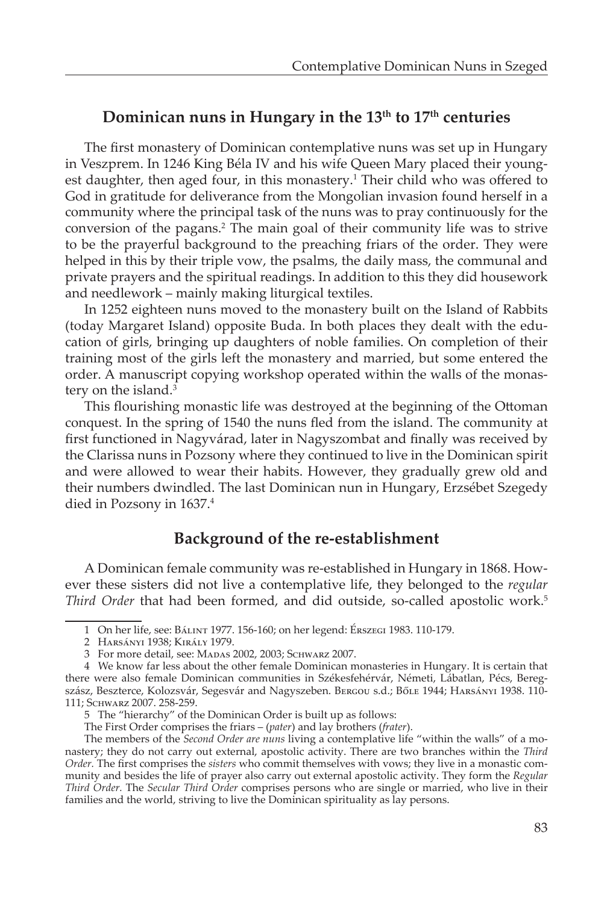# Dominican nuns in Hungary in the 13<sup>th</sup> to 17<sup>th</sup> centuries

The first monastery of Dominican contemplative nuns was set up in Hungary in Veszprem. In 1246 King Béla IV and his wife Queen Mary placed their youngest daughter, then aged four, in this monastery.<sup>1</sup> Their child who was offered to God in gratitude for deliverance from the Mongolian invasion found herself in a community where the principal task of the nuns was to pray continuously for the conversion of the pagans.2 The main goal of their community life was to strive to be the prayerful background to the preaching friars of the order. They were helped in this by their triple vow, the psalms, the daily mass, the communal and private prayers and the spiritual readings. In addition to this they did housework and needlework – mainly making liturgical textiles.

In 1252 eighteen nuns moved to the monastery built on the Island of Rabbits (today Margaret Island) opposite Buda. In both places they dealt with the education of girls, bringing up daughters of noble families. On completion of their training most of the girls left the monastery and married, but some entered the order. A manuscript copying workshop operated within the walls of the monastery on the island.<sup>3</sup>

This flourishing monastic life was destroyed at the beginning of the Ottoman conquest. In the spring of 1540 the nuns fled from the island. The community at first functioned in Nagyvárad, later in Nagyszombat and finally was received by the Clarissa nuns in Pozsony where they continued to live in the Dominican spirit and were allowed to wear their habits. However, they gradually grew old and their numbers dwindled. The last Dominican nun in Hungary, Erzsébet Szegedy died in Pozsony in 1637.4

# **Background of the re-establishment**

A Dominican female community was re-established in Hungary in 1868. However these sisters did not live a contemplative life, they belonged to the *regular Third Order* that had been formed, and did outside, so-called apostolic work.<sup>5</sup>

<sup>1</sup> On her life, see: Bálint 1977. 156-160; on her legend: Érszegi 1983. 110-179.

<sup>2</sup> Harsányi 1938; Király 1979.

<sup>3</sup> For more detail, see: MADAS 2002, 2003; SCHWARZ 2007.

<sup>4</sup> We know far less about the other female Dominican monasteries in Hungary. It is certain that there were also female Dominican communities in Székesfehérvár, Németi, Lábatlan, Pécs, Beregszász, Beszterce, Kolozsvár, Segesvár and Nagyszeben. Bergou s.d.; Bőle 1944; Harsányi 1938. 110- 111; Schwarz 2007. 258-259.

<sup>5</sup> The "hierarchy" of the Dominican Order is built up as follows:

The First Order comprises the friars – (*pater*) and lay brothers (*frater*).

The members of the *Second Order are nuns* living a contemplative life "within the walls" of a monastery; they do not carry out external, apostolic activity. There are two branches within the *Third Order.* The first comprises the *sisters* who commit themselves with vows; they live in a monastic community and besides the life of prayer also carry out external apostolic activity. They form the *Regular Third Order.* The *Secular Third Order* comprises persons who are single or married, who live in their families and the world, striving to live the Dominican spirituality as lay persons.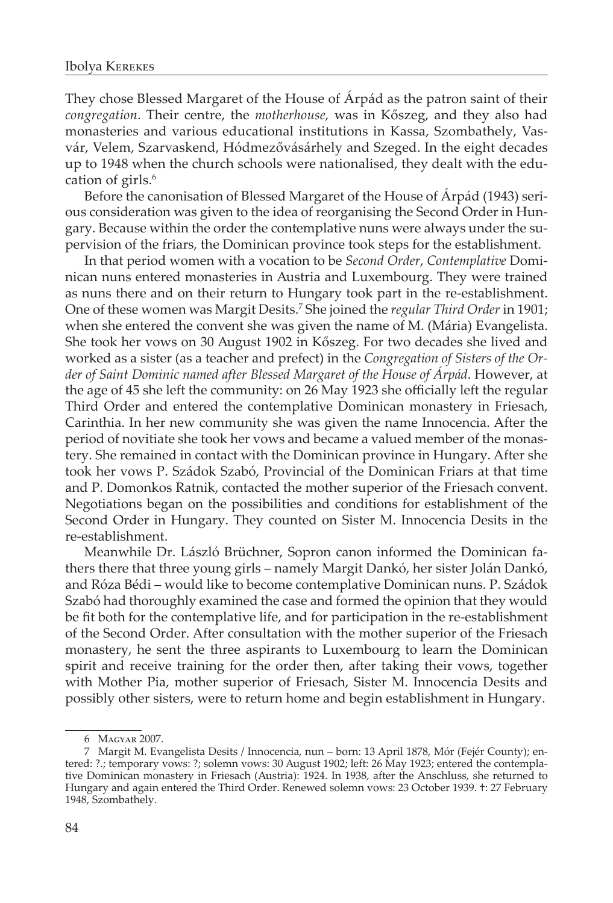They chose Blessed Margaret of the House of Árpád as the patron saint of their *congregation*. Their centre, the *motherhouse,* was in Kőszeg, and they also had monasteries and various educational institutions in Kassa, Szombathely, Vasvár, Velem, Szarvaskend, Hódmezővásárhely and Szeged. In the eight decades up to 1948 when the church schools were nationalised, they dealt with the education of girls.<sup>6</sup>

Before the canonisation of Blessed Margaret of the House of Árpád (1943) serious consideration was given to the idea of reorganising the Second Order in Hungary. Because within the order the contemplative nuns were always under the supervision of the friars, the Dominican province took steps for the establishment.

In that period women with a vocation to be *Second Order*, *Contemplative* Dominican nuns entered monasteries in Austria and Luxembourg. They were trained as nuns there and on their return to Hungary took part in the re-establishment. One of these women was Margit Desits.7 She joined the *regular Third Order* in 1901; when she entered the convent she was given the name of M. (Mária) Evangelista. She took her vows on 30 August 1902 in Kőszeg. For two decades she lived and worked as a sister (as a teacher and prefect) in the *Congregation of Sisters of the Order of Saint Dominic named after Blessed Margaret of the House of Árpád*. However, at the age of 45 she left the community: on 26 May 1923 she officially left the regular Third Order and entered the contemplative Dominican monastery in Friesach, Carinthia. In her new community she was given the name Innocencia. After the period of novitiate she took her vows and became a valued member of the monastery. She remained in contact with the Dominican province in Hungary. After she took her vows P. Szádok Szabó, Provincial of the Dominican Friars at that time and P. Domonkos Ratnik, contacted the mother superior of the Friesach convent. Negotiations began on the possibilities and conditions for establishment of the Second Order in Hungary. They counted on Sister M. Innocencia Desits in the re-establishment.

Meanwhile Dr. László Brüchner, Sopron canon informed the Dominican fathers there that three young girls – namely Margit Dankó, her sister Jolán Dankó, and Róza Bédi – would like to become contemplative Dominican nuns. P. Szádok Szabó had thoroughly examined the case and formed the opinion that they would be fit both for the contemplative life, and for participation in the re-establishment of the Second Order. After consultation with the mother superior of the Friesach monastery, he sent the three aspirants to Luxembourg to learn the Dominican spirit and receive training for the order then, after taking their vows, together with Mother Pia, mother superior of Friesach, Sister M. Innocencia Desits and possibly other sisters, were to return home and begin establishment in Hungary.

<sup>6</sup> Magyar 2007.

<sup>7</sup> Margit M. Evangelista Desits / Innocencia, nun – born: 13 April 1878, Mór (Fejér County); entered: ?.; temporary vows: ?; solemn vows: 30 August 1902; left: 26 May 1923; entered the contemplative Dominican monastery in Friesach (Austria): 1924. In 1938, after the Anschluss, she returned to Hungary and again entered the Third Order. Renewed solemn vows: 23 October 1939. †: 27 February 1948, Szombathely.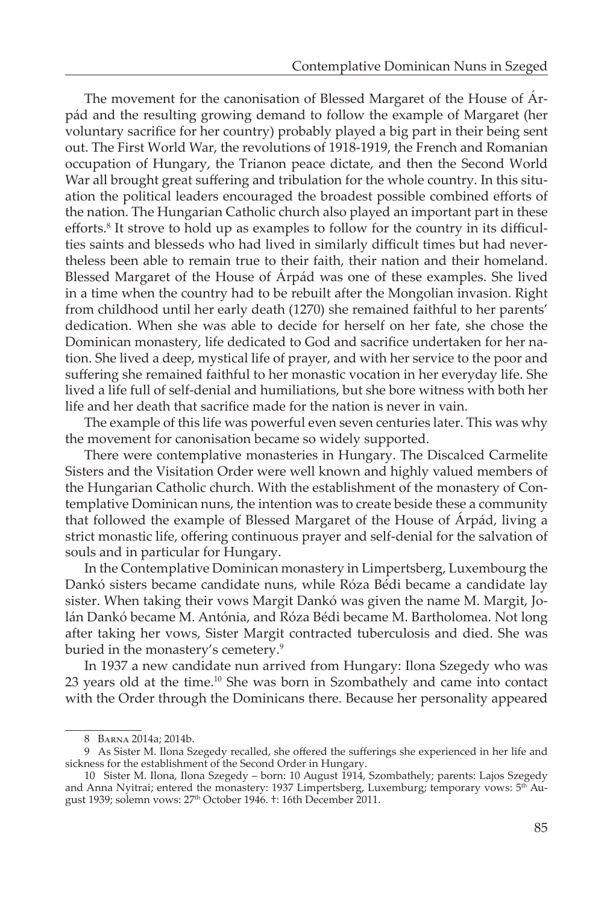The movement for the canonisation of Blessed Margaret of the House of Árpád and the resulting growing demand to follow the example of Margaret (her voluntary sacrifice for her country) probably played a big part in their being sent out. The First World War, the revolutions of 1918-1919, the French and Romanian occupation of Hungary, the Trianon peace dictate, and then the Second World War all brought great suffering and tribulation for the whole country. In this situation the political leaders encouraged the broadest possible combined efforts of the nation. The Hungarian Catholic church also played an important part in these efforts.<sup>8</sup> It strove to hold up as examples to follow for the country in its difficulties saints and blesseds who had lived in similarly difficult times but had nevertheless been able to remain true to their faith, their nation and their homeland. Blessed Margaret of the House of Árpád was one of these examples. She lived in a time when the country had to be rebuilt after the Mongolian invasion. Right from childhood until her early death (1270) she remained faithful to her parents' dedication. When she was able to decide for herself on her fate, she chose the Dominican monastery, life dedicated to God and sacrifice undertaken for her nation. She lived a deep, mystical life of prayer, and with her service to the poor and suffering she remained faithful to her monastic vocation in her everyday life. She lived a life full of self-denial and humiliations, but she bore witness with both her life and her death that sacrifice made for the nation is never in vain.

The example of this life was powerful even seven centuries later. This was why the movement for canonisation became so widely supported.

There were contemplative monasteries in Hungary. The Discalced Carmelite Sisters and the Visitation Order were well known and highly valued members of the Hungarian Catholic church. With the establishment of the monastery of Contemplative Dominican nuns, the intention was to create beside these a community that followed the example of Blessed Margaret of the House of Árpád, living a strict monastic life, offering continuous prayer and self-denial for the salvation of souls and in particular for Hungary.

In the Contemplative Dominican monastery in Limpertsberg, Luxembourg the Dankó sisters became candidate nuns, while Róza Bédi became a candidate lay sister. When taking their vows Margit Dankó was given the name M. Margit, Jolán Dankó became M. Antónia, and Róza Bédi became M. Bartholomea. Not long after taking her vows, Sister Margit contracted tuberculosis and died. She was buried in the monastery's cemetery.<sup>9</sup>

In 1937 a new candidate nun arrived from Hungary: Ilona Szegedy who was 23 years old at the time.10 She was born in Szombathely and came into contact with the Order through the Dominicans there. Because her personality appeared

<sup>8</sup> Barna 2014a; 2014b.

<sup>9</sup> As Sister M. Ilona Szegedy recalled, she offered the sufferings she experienced in her life and sickness for the establishment of the Second Order in Hungary.

<sup>10</sup> Sister M. Ilona, Ilona Szegedy – born: 10 August 1914, Szombathely; parents: Lajos Szegedy and Anna Nyitrai; entered the monastery: 1937 Limpertsberg, Luxemburg; temporary vows: 5<sup>th</sup> August 1939; solemn vows: 27<sup>th</sup> October 1946. †: 16th December 2011.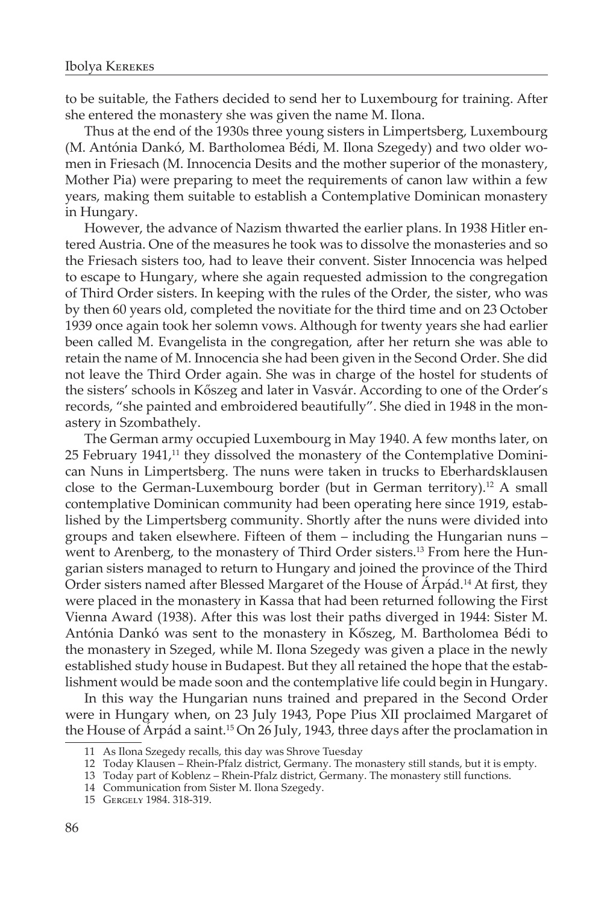to be suitable, the Fathers decided to send her to Luxembourg for training. After she entered the monastery she was given the name M. Ilona.

Thus at the end of the 1930s three young sisters in Limpertsberg, Luxembourg (M. Antónia Dankó, M. Bartholomea Bédi, M. Ilona Szegedy) and two older women in Friesach (M. Innocencia Desits and the mother superior of the monastery, Mother Pia) were preparing to meet the requirements of canon law within a few years, making them suitable to establish a Contemplative Dominican monastery in Hungary.

However, the advance of Nazism thwarted the earlier plans. In 1938 Hitler entered Austria. One of the measures he took was to dissolve the monasteries and so the Friesach sisters too, had to leave their convent. Sister Innocencia was helped to escape to Hungary, where she again requested admission to the congregation of Third Order sisters. In keeping with the rules of the Order, the sister, who was by then 60 years old, completed the novitiate for the third time and on 23 October 1939 once again took her solemn vows. Although for twenty years she had earlier been called M. Evangelista in the congregation, after her return she was able to retain the name of M. Innocencia she had been given in the Second Order. She did not leave the Third Order again. She was in charge of the hostel for students of the sisters' schools in Kőszeg and later in Vasvár. According to one of the Order's records, "she painted and embroidered beautifully". She died in 1948 in the monastery in Szombathely.

The German army occupied Luxembourg in May 1940. A few months later, on 25 February 1941,<sup>11</sup> they dissolved the monastery of the Contemplative Dominican Nuns in Limpertsberg. The nuns were taken in trucks to Eberhardsklausen close to the German-Luxembourg border (but in German territory).<sup>12</sup> A small contemplative Dominican community had been operating here since 1919, established by the Limpertsberg community. Shortly after the nuns were divided into groups and taken elsewhere. Fifteen of them – including the Hungarian nuns – went to Arenberg, to the monastery of Third Order sisters.<sup>13</sup> From here the Hungarian sisters managed to return to Hungary and joined the province of the Third Order sisters named after Blessed Margaret of the House of Árpád.<sup>14</sup> At first, they were placed in the monastery in Kassa that had been returned following the First Vienna Award (1938). After this was lost their paths diverged in 1944: Sister M. Antónia Dankó was sent to the monastery in Kőszeg, M. Bartholomea Bédi to the monastery in Szeged, while M. Ilona Szegedy was given a place in the newly established study house in Budapest. But they all retained the hope that the establishment would be made soon and the contemplative life could begin in Hungary.

In this way the Hungarian nuns trained and prepared in the Second Order were in Hungary when, on 23 July 1943, Pope Pius XII proclaimed Margaret of the House of Árpád a saint.15 On 26 July, 1943, three days after the proclamation in

<sup>11</sup> As Ilona Szegedy recalls, this day was Shrove Tuesday

<sup>12</sup> Today Klausen – Rhein-Pfalz district, Germany. The monastery still stands, but it is empty.

<sup>13</sup> Today part of Koblenz – Rhein-Pfalz district, Germany. The monastery still functions.

<sup>14</sup> Communication from Sister M. Ilona Szegedy.

<sup>15</sup> Gergely 1984. 318-319.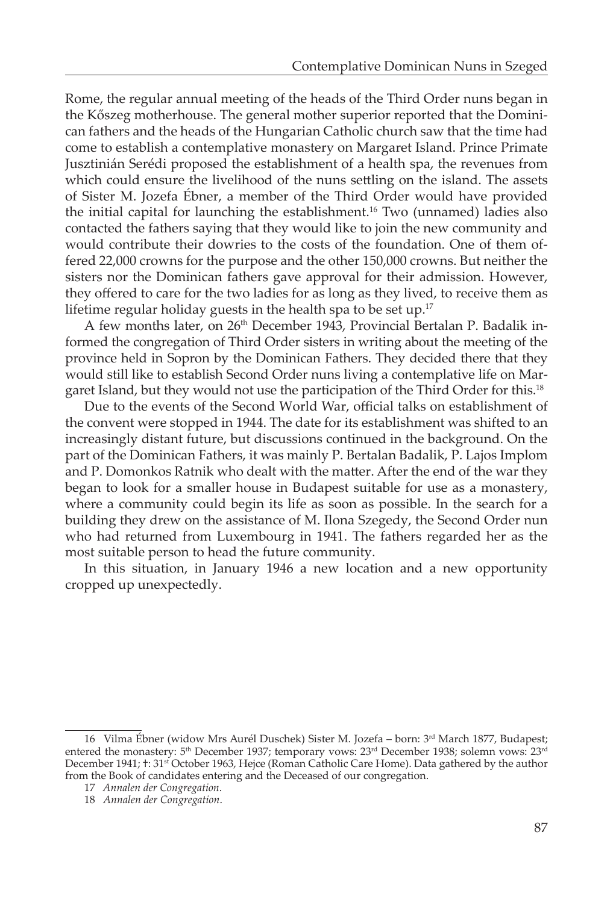Rome, the regular annual meeting of the heads of the Third Order nuns began in the Kőszeg motherhouse. The general mother superior reported that the Dominican fathers and the heads of the Hungarian Catholic church saw that the time had come to establish a contemplative monastery on Margaret Island. Prince Primate Jusztinián Serédi proposed the establishment of a health spa, the revenues from which could ensure the livelihood of the nuns settling on the island. The assets of Sister M. Jozefa Ébner, a member of the Third Order would have provided the initial capital for launching the establishment.<sup>16</sup> Two (unnamed) ladies also contacted the fathers saying that they would like to join the new community and would contribute their dowries to the costs of the foundation. One of them offered 22,000 crowns for the purpose and the other 150,000 crowns. But neither the sisters nor the Dominican fathers gave approval for their admission. However, they offered to care for the two ladies for as long as they lived, to receive them as lifetime regular holiday guests in the health spa to be set up. $17$ 

A few months later, on 26<sup>th</sup> December 1943, Provincial Bertalan P. Badalik informed the congregation of Third Order sisters in writing about the meeting of the province held in Sopron by the Dominican Fathers. They decided there that they would still like to establish Second Order nuns living a contemplative life on Margaret Island, but they would not use the participation of the Third Order for this.<sup>18</sup>

Due to the events of the Second World War, official talks on establishment of the convent were stopped in 1944. The date for its establishment was shifted to an increasingly distant future, but discussions continued in the background. On the part of the Dominican Fathers, it was mainly P. Bertalan Badalik, P. Lajos Implom and P. Domonkos Ratnik who dealt with the matter. After the end of the war they began to look for a smaller house in Budapest suitable for use as a monastery, where a community could begin its life as soon as possible. In the search for a building they drew on the assistance of M. Ilona Szegedy, the Second Order nun who had returned from Luxembourg in 1941. The fathers regarded her as the most suitable person to head the future community.

In this situation, in January 1946 a new location and a new opportunity cropped up unexpectedly.

<sup>16</sup> Vilma Ébner (widow Mrs Aurél Duschek) Sister M. Jozefa – born: 3rd March 1877, Budapest; entered the monastery: 5<sup>th</sup> December 1937; temporary vows: 23<sup>rd</sup> December 1938; solemn vows: 23<sup>rd</sup> December 1941; †: 31<sup>st</sup> October 1963, Hejce (Roman Catholic Care Home). Data gathered by the author from the Book of candidates entering and the Deceased of our congregation.

<sup>17</sup>  *Annalen der Congregation*.

<sup>18</sup> *Annalen der Congregation*.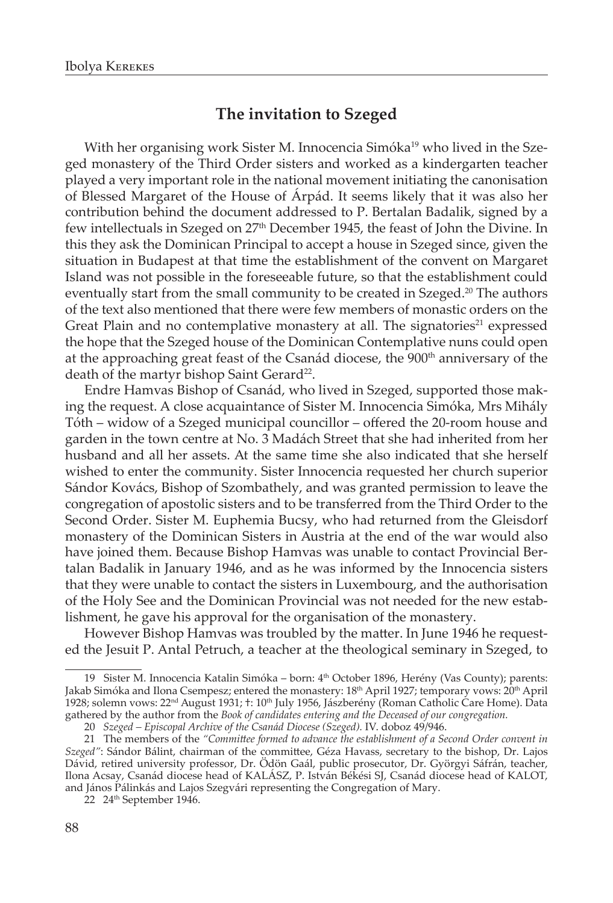# **The invitation to Szeged**

With her organising work Sister M. Innocencia Simóka<sup>19</sup> who lived in the Szeged monastery of the Third Order sisters and worked as a kindergarten teacher played a very important role in the national movement initiating the canonisation of Blessed Margaret of the House of Árpád. It seems likely that it was also her contribution behind the document addressed to P. Bertalan Badalik, signed by a few intellectuals in Szeged on 27<sup>th</sup> December 1945, the feast of John the Divine. In this they ask the Dominican Principal to accept a house in Szeged since, given the situation in Budapest at that time the establishment of the convent on Margaret Island was not possible in the foreseeable future, so that the establishment could eventually start from the small community to be created in Szeged.<sup>20</sup> The authors of the text also mentioned that there were few members of monastic orders on the Great Plain and no contemplative monastery at all. The signatories<sup>21</sup> expressed the hope that the Szeged house of the Dominican Contemplative nuns could open at the approaching great feast of the Csanád diocese, the 900<sup>th</sup> anniversary of the death of the martyr bishop Saint Gerard<sup>22</sup>.

Endre Hamvas Bishop of Csanád, who lived in Szeged, supported those making the request. A close acquaintance of Sister M. Innocencia Simóka, Mrs Mihály Tóth – widow of a Szeged municipal councillor – offered the 20-room house and garden in the town centre at No. 3 Madách Street that she had inherited from her husband and all her assets. At the same time she also indicated that she herself wished to enter the community. Sister Innocencia requested her church superior Sándor Kovács, Bishop of Szombathely, and was granted permission to leave the congregation of apostolic sisters and to be transferred from the Third Order to the Second Order. Sister M. Euphemia Bucsy, who had returned from the Gleisdorf monastery of the Dominican Sisters in Austria at the end of the war would also have joined them. Because Bishop Hamvas was unable to contact Provincial Bertalan Badalik in January 1946, and as he was informed by the Innocencia sisters that they were unable to contact the sisters in Luxembourg, and the authorisation of the Holy See and the Dominican Provincial was not needed for the new establishment, he gave his approval for the organisation of the monastery.

However Bishop Hamvas was troubled by the matter. In June 1946 he requested the Jesuit P. Antal Petruch, a teacher at the theological seminary in Szeged, to

<sup>19</sup> Sister M. Innocencia Katalin Simóka – born: 4<sup>th</sup> October 1896, Herény (Vas County); parents: Jakab Simóka and Ilona Csempesz; entered the monastery: 18<sup>th</sup> April 1927; temporary vows: 20<sup>th</sup> April 1928; solemn vows: 22nd August 1931; †: 10th July 1956, Jászberény (Roman Catholic Care Home). Data gathered by the author from the *Book of candidates entering and the Deceased of our congregation.*

<sup>20</sup> *Szeged – Episcopal Archive of the Csanád Diocese (Szeged).* IV. doboz 49/946.

<sup>21</sup> The members of the *"Committee formed to advance the establishment of a Second Order convent in Szeged"*: Sándor Bálint, chairman of the committee, Géza Havass, secretary to the bishop, Dr. Lajos Dávid, retired university professor, Dr. Ödön Gaál, public prosecutor, Dr. Györgyi Sáfrán, teacher, Ilona Acsay, Csanád diocese head of KALÁSZ, P. István Békési SJ, Csanád diocese head of KALOT, and János Pálinkás and Lajos Szegvári representing the Congregation of Mary.

<sup>22 24&</sup>lt;sup>th</sup> September 1946.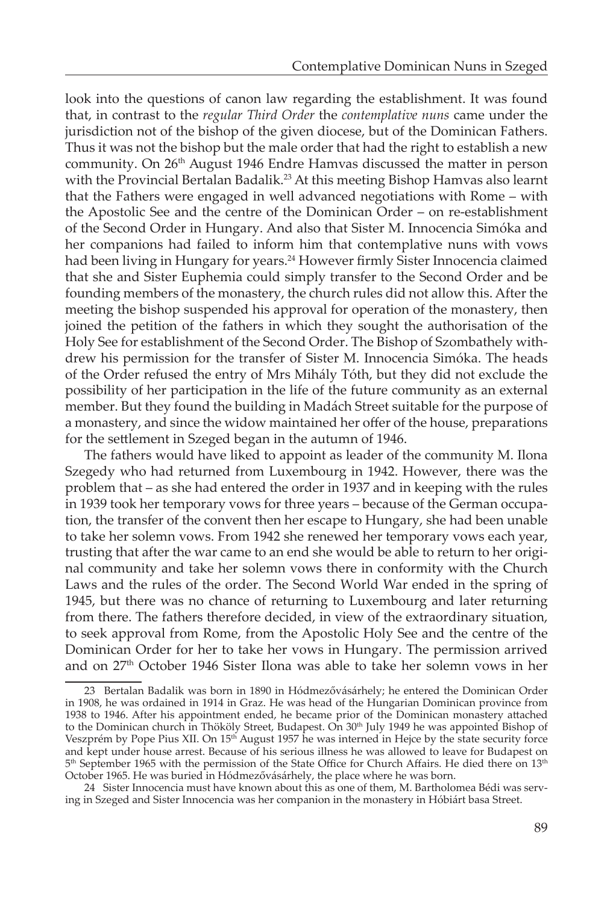look into the questions of canon law regarding the establishment. It was found that, in contrast to the *regular Third Order* the *contemplative nuns* came under the jurisdiction not of the bishop of the given diocese, but of the Dominican Fathers. Thus it was not the bishop but the male order that had the right to establish a new community. On 26<sup>th</sup> August 1946 Endre Hamvas discussed the matter in person with the Provincial Bertalan Badalik.<sup>23</sup> At this meeting Bishop Hamvas also learnt that the Fathers were engaged in well advanced negotiations with Rome – with the Apostolic See and the centre of the Dominican Order – on re-establishment of the Second Order in Hungary. And also that Sister M. Innocencia Simóka and her companions had failed to inform him that contemplative nuns with vows had been living in Hungary for years.<sup>24</sup> However firmly Sister Innocencia claimed that she and Sister Euphemia could simply transfer to the Second Order and be founding members of the monastery, the church rules did not allow this. After the meeting the bishop suspended his approval for operation of the monastery, then joined the petition of the fathers in which they sought the authorisation of the Holy See for establishment of the Second Order. The Bishop of Szombathely withdrew his permission for the transfer of Sister M. Innocencia Simóka. The heads of the Order refused the entry of Mrs Mihály Tóth, but they did not exclude the possibility of her participation in the life of the future community as an external member. But they found the building in Madách Street suitable for the purpose of a monastery, and since the widow maintained her offer of the house, preparations for the settlement in Szeged began in the autumn of 1946.

The fathers would have liked to appoint as leader of the community M. Ilona Szegedy who had returned from Luxembourg in 1942. However, there was the problem that – as she had entered the order in 1937 and in keeping with the rules in 1939 took her temporary vows for three years – because of the German occupation, the transfer of the convent then her escape to Hungary, she had been unable to take her solemn vows. From 1942 she renewed her temporary vows each year, trusting that after the war came to an end she would be able to return to her original community and take her solemn vows there in conformity with the Church Laws and the rules of the order. The Second World War ended in the spring of 1945, but there was no chance of returning to Luxembourg and later returning from there. The fathers therefore decided, in view of the extraordinary situation, to seek approval from Rome, from the Apostolic Holy See and the centre of the Dominican Order for her to take her vows in Hungary. The permission arrived and on 27th October 1946 Sister Ilona was able to take her solemn vows in her

<sup>23</sup> Bertalan Badalik was born in 1890 in Hódmezővásárhely; he entered the Dominican Order in 1908, he was ordained in 1914 in Graz. He was head of the Hungarian Dominican province from 1938 to 1946. After his appointment ended, he became prior of the Dominican monastery attached to the Dominican church in Thököly Street, Budapest. On 30<sup>th</sup> July 1949 he was appointed Bishop of Veszprém by Pope Pius XII. On 15<sup>th</sup> August 1957 he was interned in Hejce by the state security force and kept under house arrest. Because of his serious illness he was allowed to leave for Budapest on  $5<sup>th</sup>$  September 1965 with the permission of the State Office for Church Affairs. He died there on  $13<sup>th</sup>$ October 1965. He was buried in Hódmezővásárhely, the place where he was born.

<sup>24</sup> Sister Innocencia must have known about this as one of them, M. Bartholomea Bédi was serving in Szeged and Sister Innocencia was her companion in the monastery in Hóbiárt basa Street.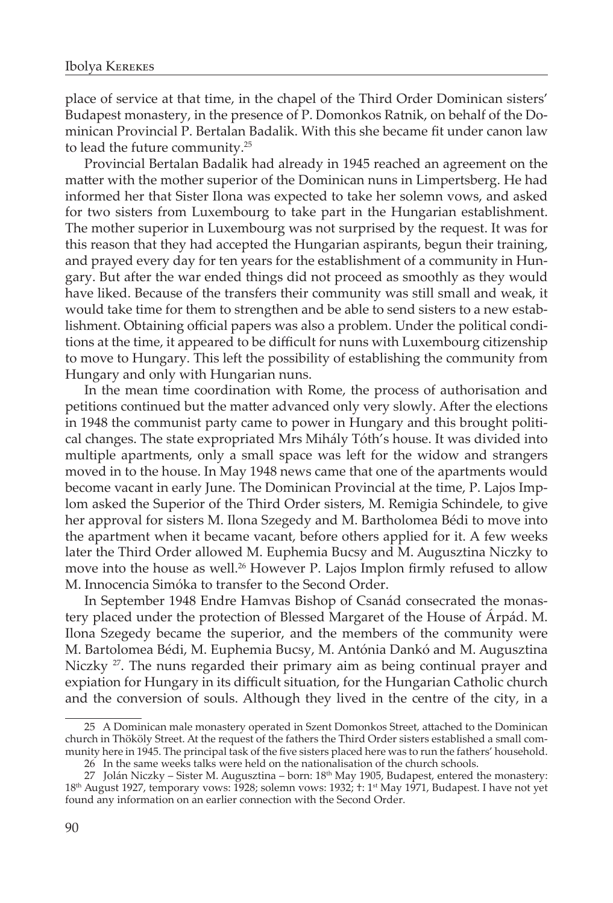place of service at that time, in the chapel of the Third Order Dominican sisters' Budapest monastery, in the presence of P. Domonkos Ratnik, on behalf of the Dominican Provincial P. Bertalan Badalik. With this she became fit under canon law to lead the future community.<sup>25</sup>

Provincial Bertalan Badalik had already in 1945 reached an agreement on the matter with the mother superior of the Dominican nuns in Limpertsberg. He had informed her that Sister Ilona was expected to take her solemn vows, and asked for two sisters from Luxembourg to take part in the Hungarian establishment. The mother superior in Luxembourg was not surprised by the request. It was for this reason that they had accepted the Hungarian aspirants, begun their training, and prayed every day for ten years for the establishment of a community in Hungary. But after the war ended things did not proceed as smoothly as they would have liked. Because of the transfers their community was still small and weak, it would take time for them to strengthen and be able to send sisters to a new establishment. Obtaining official papers was also a problem. Under the political conditions at the time, it appeared to be difficult for nuns with Luxembourg citizenship to move to Hungary. This left the possibility of establishing the community from Hungary and only with Hungarian nuns.

In the mean time coordination with Rome, the process of authorisation and petitions continued but the matter advanced only very slowly. After the elections in 1948 the communist party came to power in Hungary and this brought political changes. The state expropriated Mrs Mihály Tóth's house. It was divided into multiple apartments, only a small space was left for the widow and strangers moved in to the house. In May 1948 news came that one of the apartments would become vacant in early June. The Dominican Provincial at the time, P. Lajos Implom asked the Superior of the Third Order sisters, M. Remigia Schindele, to give her approval for sisters M. Ilona Szegedy and M. Bartholomea Bédi to move into the apartment when it became vacant, before others applied for it. A few weeks later the Third Order allowed M. Euphemia Bucsy and M. Augusztina Niczky to move into the house as well.<sup>26</sup> However P. Lajos Implon firmly refused to allow M. Innocencia Simóka to transfer to the Second Order.

In September 1948 Endre Hamvas Bishop of Csanád consecrated the monastery placed under the protection of Blessed Margaret of the House of Árpád. M. Ilona Szegedy became the superior, and the members of the community were M. Bartolomea Bédi, M. Euphemia Bucsy, M. Antónia Dankó and M. Augusztina Niczky <sup>27</sup>. The nuns regarded their primary aim as being continual prayer and expiation for Hungary in its difficult situation, for the Hungarian Catholic church and the conversion of souls. Although they lived in the centre of the city, in a

<sup>25</sup> A Dominican male monastery operated in Szent Domonkos Street, attached to the Dominican church in Thököly Street. At the request of the fathers the Third Order sisters established a small community here in 1945. The principal task of the five sisters placed here was to run the fathers' household. 26 In the same weeks talks were held on the nationalisation of the church schools.

<sup>27</sup> Jolán Niczky - Sister M. Augusztina - born: 18<sup>th</sup> May 1905, Budapest, entered the monastery: 18th August 1927, temporary vows: 1928; solemn vows: 1932; †: 1st May 1971, Budapest. I have not yet found any information on an earlier connection with the Second Order.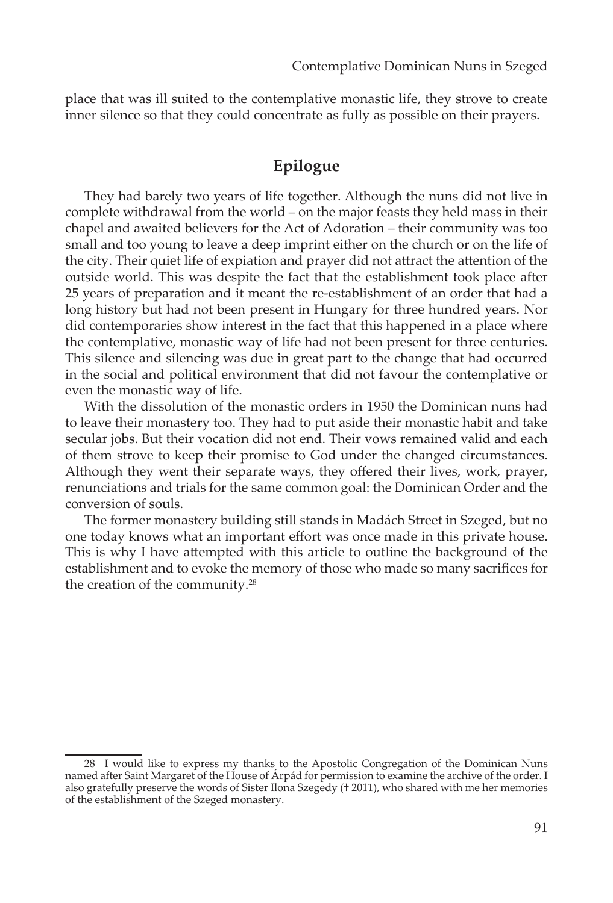place that was ill suited to the contemplative monastic life, they strove to create inner silence so that they could concentrate as fully as possible on their prayers.

# **Epilogue**

They had barely two years of life together. Although the nuns did not live in complete withdrawal from the world – on the major feasts they held mass in their chapel and awaited believers for the Act of Adoration – their community was too small and too young to leave a deep imprint either on the church or on the life of the city. Their quiet life of expiation and prayer did not attract the attention of the outside world. This was despite the fact that the establishment took place after 25 years of preparation and it meant the re-establishment of an order that had a long history but had not been present in Hungary for three hundred years. Nor did contemporaries show interest in the fact that this happened in a place where the contemplative, monastic way of life had not been present for three centuries. This silence and silencing was due in great part to the change that had occurred in the social and political environment that did not favour the contemplative or even the monastic way of life.

With the dissolution of the monastic orders in 1950 the Dominican nuns had to leave their monastery too. They had to put aside their monastic habit and take secular jobs. But their vocation did not end. Their vows remained valid and each of them strove to keep their promise to God under the changed circumstances. Although they went their separate ways, they offered their lives, work, prayer, renunciations and trials for the same common goal: the Dominican Order and the conversion of souls.

The former monastery building still stands in Madách Street in Szeged, but no one today knows what an important effort was once made in this private house. This is why I have attempted with this article to outline the background of the establishment and to evoke the memory of those who made so many sacrifices for the creation of the community.<sup>28</sup>

<sup>28</sup> I would like to express my thanks to the Apostolic Congregation of the Dominican Nuns named after Saint Margaret of the House of Árpád for permission to examine the archive of the order. I also gratefully preserve the words of Sister Ilona Szegedy († 2011), who shared with me her memories of the establishment of the Szeged monastery.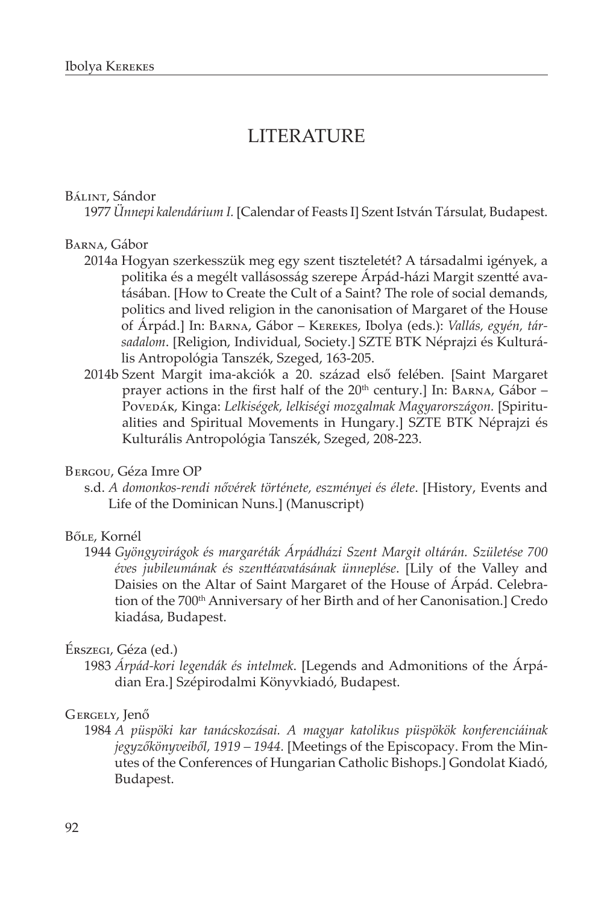# LITERATURE

#### Bálint, Sándor

1977 *Ünnepi kalendárium I.* [Calendar of Feasts I] Szent István Társulat, Budapest.

#### Barna, Gábor

- 2014a Hogyan szerkesszük meg egy szent tiszteletét? A társadalmi igények, a politika és a megélt vallásosság szerepe Árpád-házi Margit szentté avatásában. [How to Create the Cult of a Saint? The role of social demands, politics and lived religion in the canonisation of Margaret of the House of Árpád.] In: Barna, Gábor – Kerekes, Ibolya (eds.): *Vallás, egyén, társadalom*. [Religion, Individual, Society.] SZTE BTK Néprajzi és Kulturális Antropológia Tanszék, Szeged, 163-205.
- 2014b Szent Margit ima-akciók a 20. század első felében. [Saint Margaret prayer actions in the first half of the  $20<sup>th</sup>$  century.] In: BARNA, Gábor – Povedák, Kinga: *Lelkiségek, lelkiségi mozgalmak Magyarországon.* [Spiritualities and Spiritual Movements in Hungary.] SZTE BTK Néprajzi és Kulturális Antropológia Tanszék, Szeged, 208-223.

#### Bergou, Géza Imre OP

s.d. *A domonkos-rendi nővérek története, eszményei és élete*. [History, Events and Life of the Dominican Nuns.] (Manuscript)

#### Bőle, Kornél

1944 *Gyöngyvirágok és margaréták Árpádházi Szent Margit oltárán. Születése 700 éves jubileumának és szenttéavatásának ünneplése*. [Lily of the Valley and Daisies on the Altar of Saint Margaret of the House of Árpád. Celebration of the 700<sup>th</sup> Anniversary of her Birth and of her Canonisation.] Credo kiadása, Budapest.

#### Érszegi, Géza (ed.)

1983 *Árpád-kori legendák és intelmek*. [Legends and Admonitions of the Árpádian Era.] Szépirodalmi Könyvkiadó, Budapest.

#### Gergely, Jenő

1984 *A püspöki kar tanácskozásai. A magyar katolikus püspökök konferenciáinak jegyzőkönyveiből, 1919 – 1944.* [Meetings of the Episcopacy. From the Minutes of the Conferences of Hungarian Catholic Bishops.] Gondolat Kiadó, Budapest.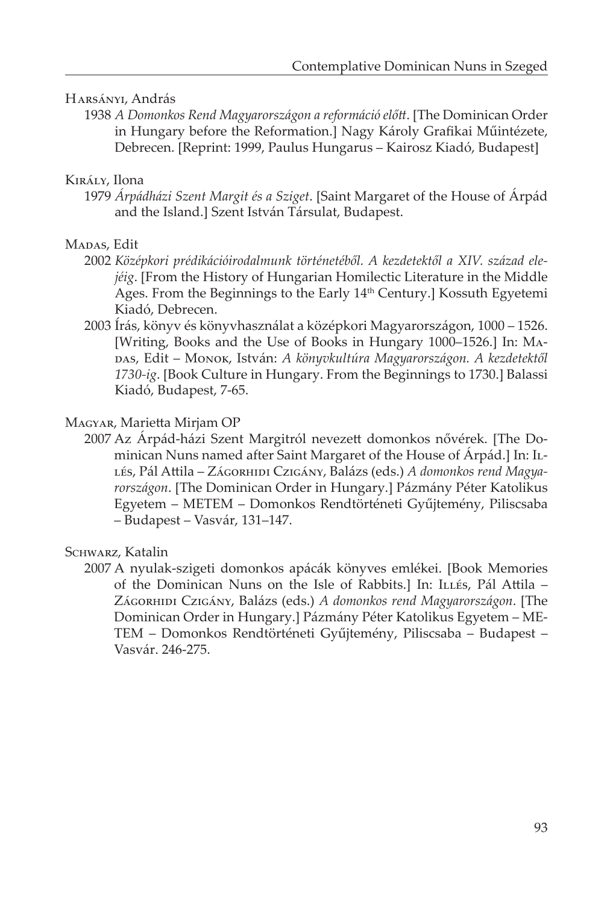### Harsányi, András

1938 *A Domonkos Rend Magyarországon a reformáció előtt*. [The Dominican Order in Hungary before the Reformation.] Nagy Károly Grafikai Műintézete, Debrecen. [Reprint: 1999, Paulus Hungarus – Kairosz Kiadó, Budapest]

### Király, Ilona

1979 *Árpádházi Szent Margit és a Sziget*. [Saint Margaret of the House of Árpád and the Island.] Szent István Társulat, Budapest.

### Madas, Edit

- 2002 *Középkori prédikációirodalmunk történetéből. A kezdetektől a XIV. század elejéig*. [From the History of Hungarian Homilectic Literature in the Middle Ages. From the Beginnings to the Early 14<sup>th</sup> Century.] Kossuth Egyetemi Kiadó, Debrecen.
- 2003 Írás, könyv és könyvhasználat a középkori Magyarországon, 1000 1526. [Writing, Books and the Use of Books in Hungary 1000–1526.] In: Madas, Edit – Monok, István: *A könyvkultúra Magyarországon. A kezdetektől 1730-ig*. [Book Culture in Hungary. From the Beginnings to 1730.] Balassi Kiadó, Budapest, 7-65.

### Magyar, Marietta Mirjam OP

2007 Az Árpád-házi Szent Margitról nevezett domonkos nővérek. [The Dominican Nuns named after Saint Margaret of the House of Árpád.] In: Il-LÉS, Pál Attila – ZÁGORHIDI CzIGÁNY, Balázs (eds.) *A domonkos rend Magyarországon*. [The Dominican Order in Hungary.] Pázmány Péter Katolikus Egyetem – METEM – Domonkos Rendtörténeti Gyűjtemény, Piliscsaba – Budapest – Vasvár, 131–147.

### SCHWARZ, Katalin

2007 A nyulak-szigeti domonkos apácák könyves emlékei. [Book Memories of the Dominican Nuns on the Isle of Rabbits.] In: ILLÉS, Pál Attila – Zágorhidi Czigány, Balázs (eds.) *A domonkos rend Magyarországon*. [The Dominican Order in Hungary.] Pázmány Péter Katolikus Egyetem – ME-TEM – Domonkos Rendtörténeti Gyűjtemény, Piliscsaba – Budapest – Vasvár. 246-275.